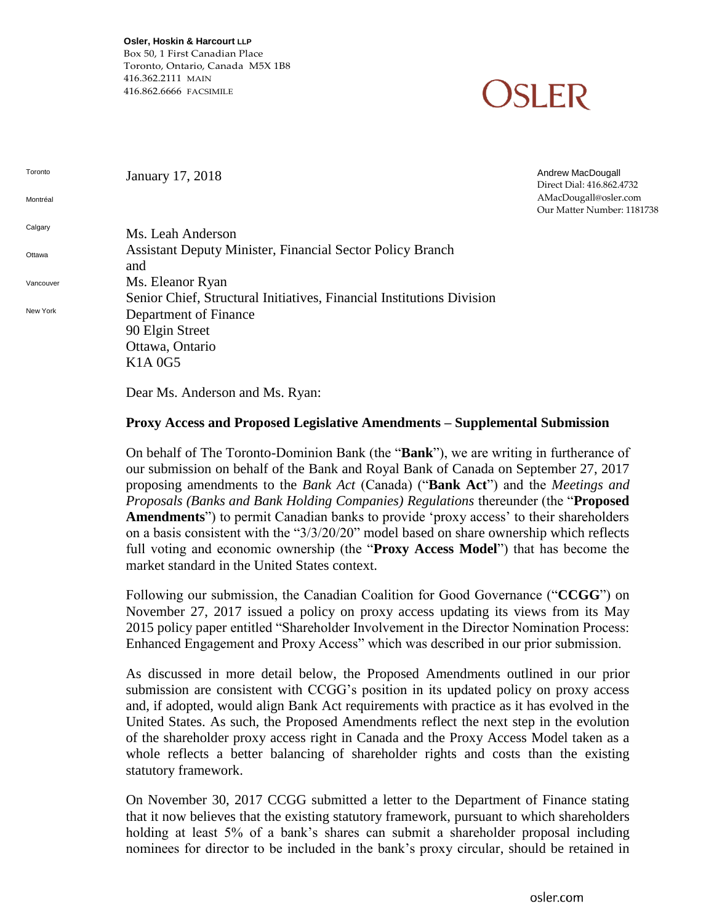**Osler, Hoskin & Harcourt LLP**

Box 50, 1 First Canadian Place Toronto, Ontario, Canada M5X 1B8 416.362.2111 MAIN 416.862.6666 FACSIMILE

### **SLER**

Toronto Montréal **Calgary Ottawa Vancouver** New York January 17, 2018 Andrew MacDougall Direct Dial: 416.862.4732 AMacDougall@osler.com Our Matter Number: 1181738 Ms. Leah Anderson Assistant Deputy Minister, Financial Sector Policy Branch and Ms. Eleanor Ryan Senior Chief, Structural Initiatives, Financial Institutions Division Department of Finance 90 Elgin Street Ottawa, Ontario K1A 0G5 Dear Ms. Anderson and Ms. Ryan:

#### **Proxy Access and Proposed Legislative Amendments – Supplemental Submission**

On behalf of The Toronto-Dominion Bank (the "**Bank**"), we are writing in furtherance of our submission on behalf of the Bank and Royal Bank of Canada on September 27, 2017 proposing amendments to the *Bank Act* (Canada) ("**Bank Act**") and the *Meetings and Proposals (Banks and Bank Holding Companies) Regulations* thereunder (the "**Proposed Amendments**") to permit Canadian banks to provide 'proxy access' to their shareholders on a basis consistent with the "3/3/20/20" model based on share ownership which reflects full voting and economic ownership (the "**Proxy Access Model**") that has become the market standard in the United States context.

Following our submission, the Canadian Coalition for Good Governance ("**CCGG**") on November 27, 2017 issued a policy on proxy access updating its views from its May 2015 policy paper entitled "Shareholder Involvement in the Director Nomination Process: Enhanced Engagement and Proxy Access" which was described in our prior submission.

As discussed in more detail below, the Proposed Amendments outlined in our prior submission are consistent with CCGG's position in its updated policy on proxy access and, if adopted, would align Bank Act requirements with practice as it has evolved in the United States. As such, the Proposed Amendments reflect the next step in the evolution of the shareholder proxy access right in Canada and the Proxy Access Model taken as a whole reflects a better balancing of shareholder rights and costs than the existing statutory framework.

On November 30, 2017 CCGG submitted a letter to the Department of Finance stating that it now believes that the existing statutory framework, pursuant to which shareholders holding at least 5% of a bank's shares can submit a shareholder proposal including nominees for director to be included in the bank's proxy circular, should be retained in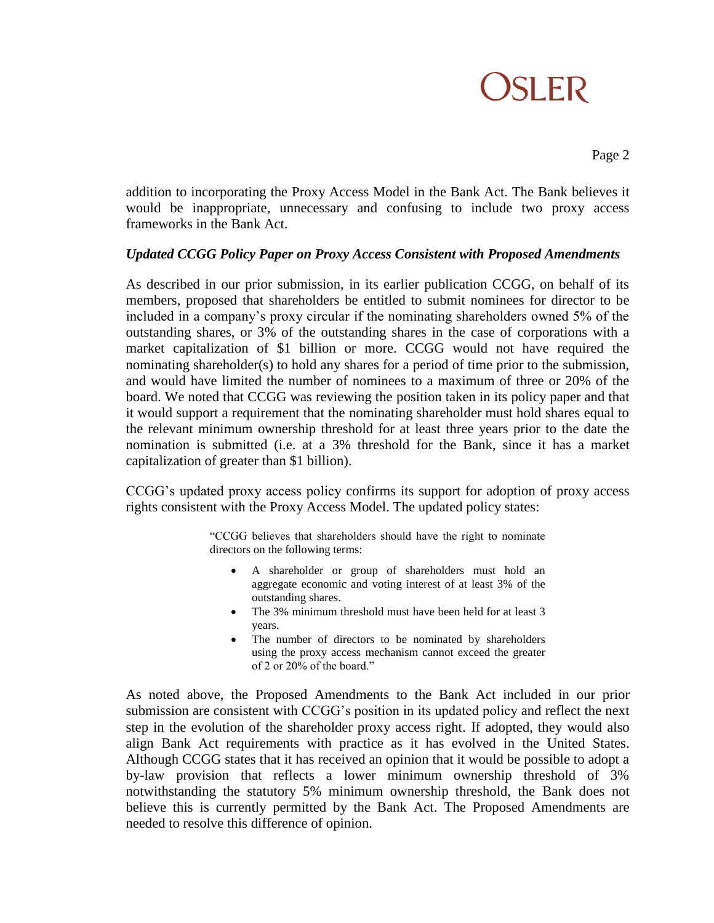Page 2

addition to incorporating the Proxy Access Model in the Bank Act. The Bank believes it would be inappropriate, unnecessary and confusing to include two proxy access frameworks in the Bank Act.

### *Updated CCGG Policy Paper on Proxy Access Consistent with Proposed Amendments*

As described in our prior submission, in its earlier publication CCGG, on behalf of its members, proposed that shareholders be entitled to submit nominees for director to be included in a company's proxy circular if the nominating shareholders owned 5% of the outstanding shares, or 3% of the outstanding shares in the case of corporations with a market capitalization of \$1 billion or more. CCGG would not have required the nominating shareholder(s) to hold any shares for a period of time prior to the submission, and would have limited the number of nominees to a maximum of three or 20% of the board. We noted that CCGG was reviewing the position taken in its policy paper and that it would support a requirement that the nominating shareholder must hold shares equal to the relevant minimum ownership threshold for at least three years prior to the date the nomination is submitted (i.e. at a 3% threshold for the Bank, since it has a market capitalization of greater than \$1 billion).

CCGG's updated proxy access policy confirms its support for adoption of proxy access rights consistent with the Proxy Access Model. The updated policy states:

> "CCGG believes that shareholders should have the right to nominate directors on the following terms:

- A shareholder or group of shareholders must hold an aggregate economic and voting interest of at least 3% of the outstanding shares.
- The 3% minimum threshold must have been held for at least 3 years.
- The number of directors to be nominated by shareholders using the proxy access mechanism cannot exceed the greater of 2 or 20% of the board."

As noted above, the Proposed Amendments to the Bank Act included in our prior submission are consistent with CCGG's position in its updated policy and reflect the next step in the evolution of the shareholder proxy access right. If adopted, they would also align Bank Act requirements with practice as it has evolved in the United States. Although CCGG states that it has received an opinion that it would be possible to adopt a by-law provision that reflects a lower minimum ownership threshold of 3% notwithstanding the statutory 5% minimum ownership threshold, the Bank does not believe this is currently permitted by the Bank Act. The Proposed Amendments are needed to resolve this difference of opinion.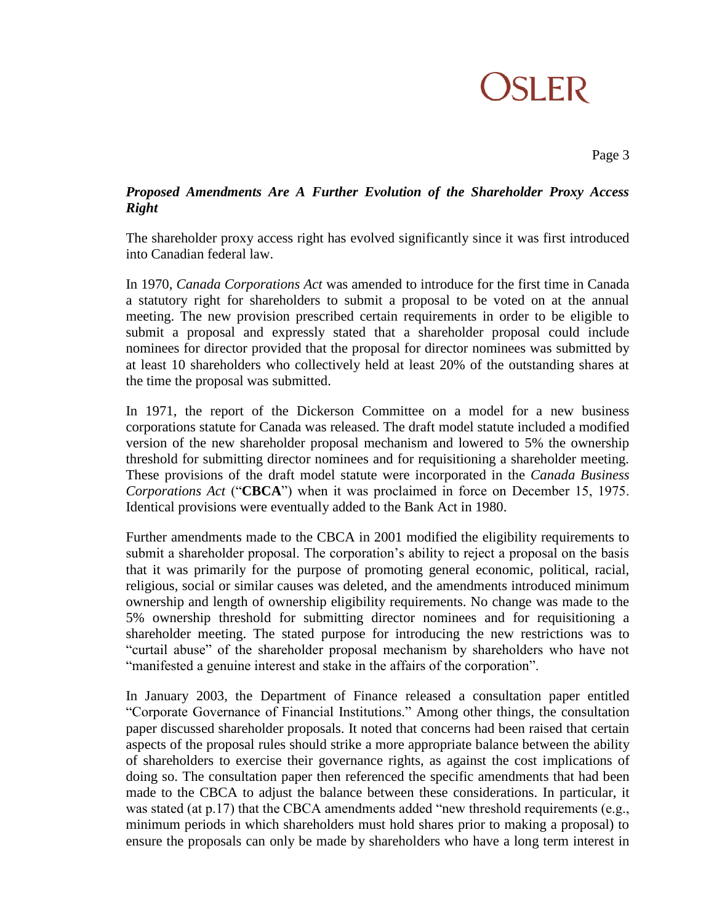Page 3

### *Proposed Amendments Are A Further Evolution of the Shareholder Proxy Access Right*

The shareholder proxy access right has evolved significantly since it was first introduced into Canadian federal law.

In 1970, *Canada Corporations Act* was amended to introduce for the first time in Canada a statutory right for shareholders to submit a proposal to be voted on at the annual meeting. The new provision prescribed certain requirements in order to be eligible to submit a proposal and expressly stated that a shareholder proposal could include nominees for director provided that the proposal for director nominees was submitted by at least 10 shareholders who collectively held at least 20% of the outstanding shares at the time the proposal was submitted.

In 1971, the report of the Dickerson Committee on a model for a new business corporations statute for Canada was released. The draft model statute included a modified version of the new shareholder proposal mechanism and lowered to 5% the ownership threshold for submitting director nominees and for requisitioning a shareholder meeting. These provisions of the draft model statute were incorporated in the *Canada Business Corporations Act* ("**CBCA**") when it was proclaimed in force on December 15, 1975. Identical provisions were eventually added to the Bank Act in 1980.

Further amendments made to the CBCA in 2001 modified the eligibility requirements to submit a shareholder proposal. The corporation's ability to reject a proposal on the basis that it was primarily for the purpose of promoting general economic, political, racial, religious, social or similar causes was deleted, and the amendments introduced minimum ownership and length of ownership eligibility requirements. No change was made to the 5% ownership threshold for submitting director nominees and for requisitioning a shareholder meeting. The stated purpose for introducing the new restrictions was to "curtail abuse" of the shareholder proposal mechanism by shareholders who have not "manifested a genuine interest and stake in the affairs of the corporation".

In January 2003, the Department of Finance released a consultation paper entitled "Corporate Governance of Financial Institutions." Among other things, the consultation paper discussed shareholder proposals. It noted that concerns had been raised that certain aspects of the proposal rules should strike a more appropriate balance between the ability of shareholders to exercise their governance rights, as against the cost implications of doing so. The consultation paper then referenced the specific amendments that had been made to the CBCA to adjust the balance between these considerations. In particular, it was stated (at p.17) that the CBCA amendments added "new threshold requirements (e.g., minimum periods in which shareholders must hold shares prior to making a proposal) to ensure the proposals can only be made by shareholders who have a long term interest in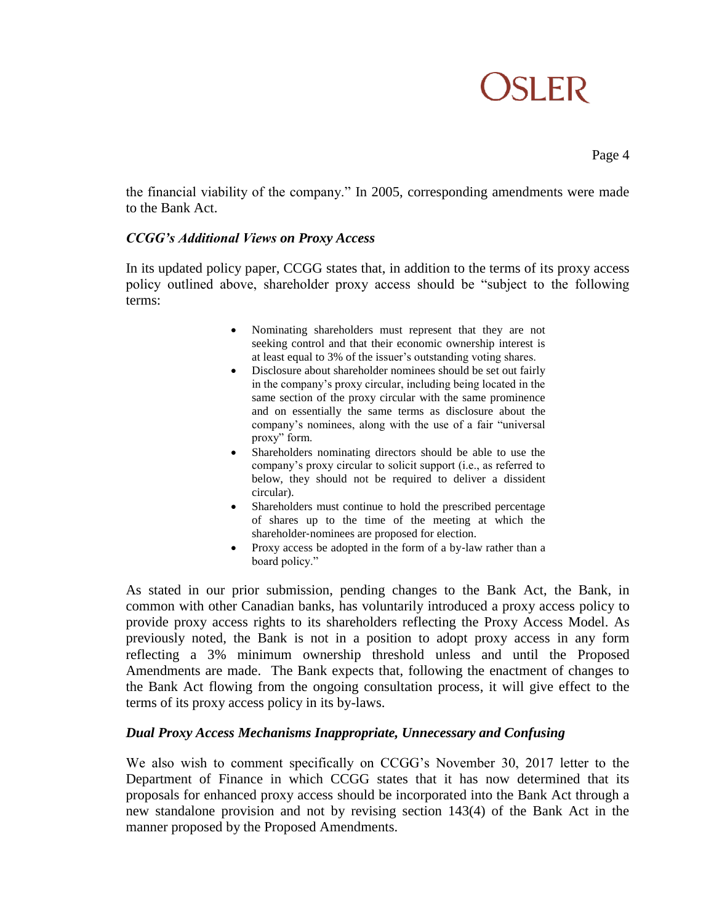Page 4

the financial viability of the company." In 2005, corresponding amendments were made to the Bank Act.

### *CCGG's Additional Views on Proxy Access*

In its updated policy paper, CCGG states that, in addition to the terms of its proxy access policy outlined above, shareholder proxy access should be "subject to the following terms:

- Nominating shareholders must represent that they are not seeking control and that their economic ownership interest is at least equal to 3% of the issuer's outstanding voting shares.
- Disclosure about shareholder nominees should be set out fairly in the company's proxy circular, including being located in the same section of the proxy circular with the same prominence and on essentially the same terms as disclosure about the company's nominees, along with the use of a fair "universal proxy" form.
- Shareholders nominating directors should be able to use the company's proxy circular to solicit support (i.e., as referred to below, they should not be required to deliver a dissident circular).
- Shareholders must continue to hold the prescribed percentage of shares up to the time of the meeting at which the shareholder‐nominees are proposed for election.
- Proxy access be adopted in the form of a by-law rather than a board policy."

As stated in our prior submission, pending changes to the Bank Act, the Bank, in common with other Canadian banks, has voluntarily introduced a proxy access policy to provide proxy access rights to its shareholders reflecting the Proxy Access Model. As previously noted, the Bank is not in a position to adopt proxy access in any form reflecting a 3% minimum ownership threshold unless and until the Proposed Amendments are made. The Bank expects that, following the enactment of changes to the Bank Act flowing from the ongoing consultation process, it will give effect to the terms of its proxy access policy in its by-laws.

#### *Dual Proxy Access Mechanisms Inappropriate, Unnecessary and Confusing*

We also wish to comment specifically on CCGG's November 30, 2017 letter to the Department of Finance in which CCGG states that it has now determined that its proposals for enhanced proxy access should be incorporated into the Bank Act through a new standalone provision and not by revising section 143(4) of the Bank Act in the manner proposed by the Proposed Amendments.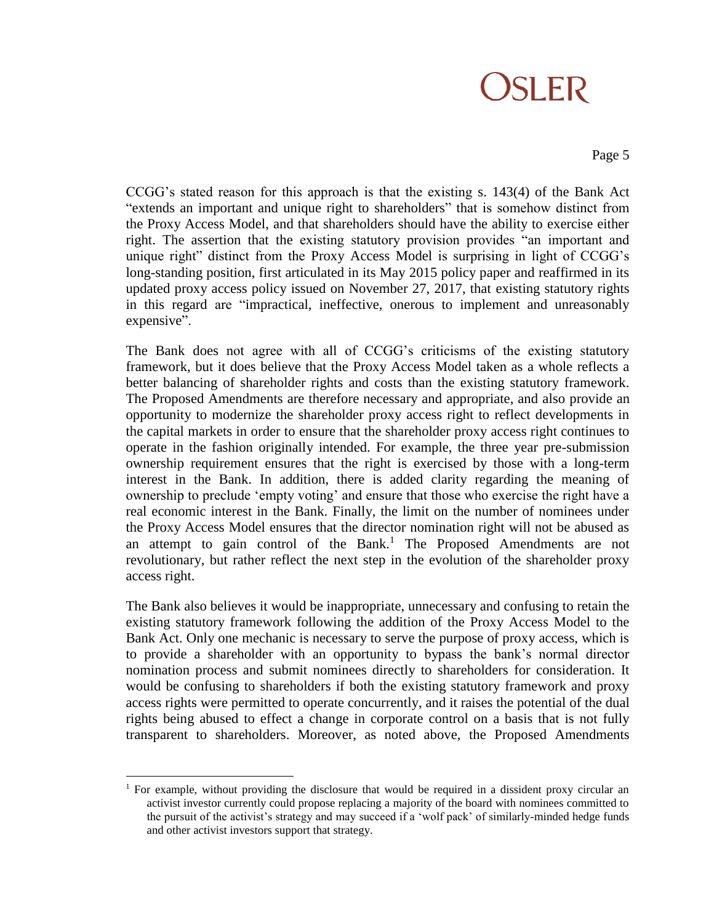#### Page 5

CCGG's stated reason for this approach is that the existing s. 143(4) of the Bank Act "extends an important and unique right to shareholders" that is somehow distinct from the Proxy Access Model, and that shareholders should have the ability to exercise either right. The assertion that the existing statutory provision provides "an important and unique right" distinct from the Proxy Access Model is surprising in light of CCGG's long-standing position, first articulated in its May 2015 policy paper and reaffirmed in its updated proxy access policy issued on November 27, 2017, that existing statutory rights in this regard are "impractical, ineffective, onerous to implement and unreasonably expensive".

The Bank does not agree with all of CCGG's criticisms of the existing statutory framework, but it does believe that the Proxy Access Model taken as a whole reflects a better balancing of shareholder rights and costs than the existing statutory framework. The Proposed Amendments are therefore necessary and appropriate, and also provide an opportunity to modernize the shareholder proxy access right to reflect developments in the capital markets in order to ensure that the shareholder proxy access right continues to operate in the fashion originally intended. For example, the three year pre-submission ownership requirement ensures that the right is exercised by those with a long-term interest in the Bank. In addition, there is added clarity regarding the meaning of ownership to preclude 'empty voting' and ensure that those who exercise the right have a real economic interest in the Bank. Finally, the limit on the number of nominees under the Proxy Access Model ensures that the director nomination right will not be abused as an attempt to gain control of the Bank.<sup>1</sup> The Proposed Amendments are not revolutionary, but rather reflect the next step in the evolution of the shareholder proxy access right.

The Bank also believes it would be inappropriate, unnecessary and confusing to retain the existing statutory framework following the addition of the Proxy Access Model to the Bank Act. Only one mechanic is necessary to serve the purpose of proxy access, which is to provide a shareholder with an opportunity to bypass the bank's normal director nomination process and submit nominees directly to shareholders for consideration. It would be confusing to shareholders if both the existing statutory framework and proxy access rights were permitted to operate concurrently, and it raises the potential of the dual rights being abused to effect a change in corporate control on a basis that is not fully transparent to shareholders. Moreover, as noted above, the Proposed Amendments

 $\overline{a}$ 

<sup>&</sup>lt;sup>1</sup> For example, without providing the disclosure that would be required in a dissident proxy circular an activist investor currently could propose replacing a majority of the board with nominees committed to the pursuit of the activist's strategy and may succeed if a 'wolf pack' of similarly-minded hedge funds and other activist investors support that strategy.